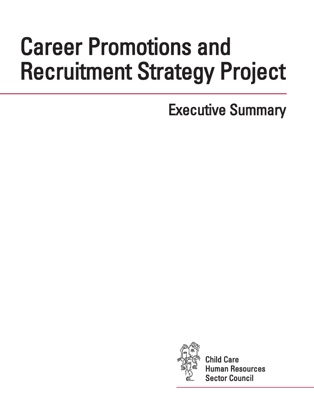# Career Promotions and Recruitment Strategy Project

# Executive Summary



Child Care nan Resources Sector Council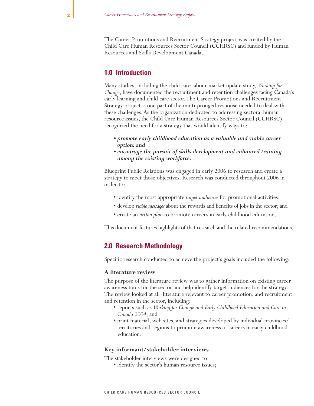The Career Promotions and Recruitment Strategy project was created by the Child Care Human Resources Sector Council (CCHRSC) and funded by Human Resources and Skills Development Canada.

# **1.0 Introduction**

Many studies, including the child care labour market update study, *Working for Change*, have documented the recruitment and retention challenges facing Canada's early learning and child care sector.The Career Promotions and Recruitment Strategy project is one part of the multi-pronged response needed to deal with these challenges. As the organization dedicated to addressing sectoral human resource issues, the Child Care Human Resources Sector Council (CCHRSC) recognized the need for a strategy that would identify ways to:

- *promote early childhood education as a valuable and viable career option; and*
- *encourage the pursuit of skills development and enhanced training among the existing workforce.*

Blueprint Public Relations was engaged in early 2006 to research and create a strategy to meet those objectives. Research was conducted throughout 2006 in order to:

- identify the most appropriate *target audiences* for promotional activities;
- develop *viable messages* about the rewards and benefits of jobs in the sector; and
- create an *action plan* to promote careers in early childhood education.

This document features highlights of that research and the related recommendations.

# **2.0 Research Methodology**

Specific research conducted to achieve the project's goals included the following:

#### **A literature review**

The purpose of the literature review was to gather information on existing career awareness tools for the sector and help identify target audiences for the strategy. The review looked at all literature relevant to career promotion, and recruitment and retention in the sector, including:

- reports such as *Working for Change and Early Childhood Education and Care in Canada 2004*; and
- print material, web sites, and strategies developed by individual provinces/ territories and regions to promote awareness of careers in early childhood education.

#### **Key informant/stakeholder interviews**

The stakeholder interviews were designed to:

• identify the sector's human resource issues;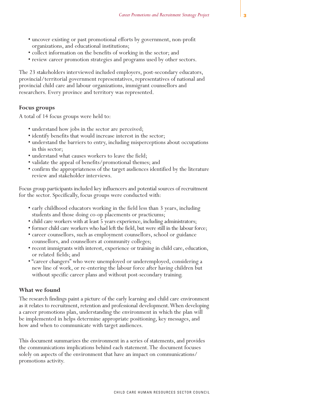- uncover existing or past promotional efforts by government, non-profit organizations, and educational institutions;
- collect information on the benefits of working in the sector; and
- review career promotion strategies and programs used by other sectors.

The 23 stakeholders interviewed included employers, post-secondary educators, provincial/territorial government representatives, representatives of national and provincial child care and labour organizations, immigrant counsellors and researchers. Every province and territory was represented.

#### **Focus groups**

A total of 14 focus groups were held to:

- understand how jobs in the sector are perceived;
- identify benefits that would increase interest in the sector;
- understand the barriers to entry, including misperceptions about occupations in this sector;
- understand what causes workers to leave the field;
- validate the appeal of benefits/promotional themes; and
- confirm the appropriateness of the target audiences identified by the literature review and stakeholder interviews.

Focus group participants included key influencers and potential sources of recruitment for the sector. Specifically, focus groups were conducted with:

- early childhood educators working in the field less than 3 years, including students and those doing co-op placements or practicums;
- child care workers with at least 5 years experience, including administrators;
- former child care workers who had left the field, but were still in the labour force;
- career counsellors, such as employment counsellors, school or guidance counsellors, and counsellors at community colleges;
- recent immigrants with interest, experience or training in child care, education, or related fields; and
- "career changers" who were unemployed or underemployed, considering a new line of work, or re-entering the labour force after having children but without specific career plans and without post-secondary training.

#### **What we found**

The research findings paint a picture of the early learning and child care environment as it relates to recruitment, retention and professional development. When developing a career promotions plan, understanding the environment in which the plan will be implemented in helps determine appropriate positioning, key messages, and how and when to communicate with target audiences.

This document summarizes the environment in a series of statements, and provides the communications implications behind each statement.The document focuses solely on aspects of the environment that have an impact on communications/ promotions activity.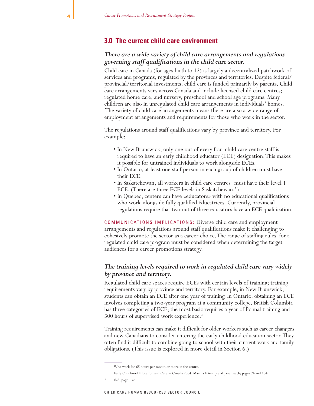# **3.0 The current child care environment**

## *There are a wide variety of child care arrangements and regulations governing staff qualifications in the child care sector.*

Child care in Canada (for ages birth to 12) is largely a decentralized patchwork of services and programs, regulated by the provinces and territories. Despite federal/ provincial/territorial investments, child care is funded primarily by parents. Child care arrangements vary across Canada and include licensed child care centres; regulated home care; and nursery, preschool and school age programs. Many children are also in unregulated child care arrangements in individuals' homes. The variety of child care arrangements means there are also a wide range of employment arrangements and requirements for those who work in the sector.

The regulations around staff qualifications vary by province and territory. For example:

- In New Brunswick, only one out of every four child care centre staff is required to have an early childhood educator (ECE) designation.This makes it possible for untrained individuals to work alongside ECEs.
- In Ontario, at least one staff person in each group of children must have their ECE.
- In Saskatchewan, all workers in child care centres<sup>1</sup> must have their level 1 ECE. (There are three ECE levels in Saskatchewan.<sup>2</sup>)
- In Quebec, centers can have «educators» with no educational qualifications who work alongside fully qualified éducatrices. Currently, provincial regulations require that two out of three educators have an ECE qualification.

COMMUNICATIONS IMPLICATIONS: Diverse child care and employment arrangements and regulations around staff qualifications make it challenging to cohesively promote the sector as a career choice.The range of staffing rules for a regulated child care program must be considered when determining the target audiences for a career promotions strategy.

#### *The training levels required to work in regulated child care vary widely by province and territory.*

Regulated child care spaces require ECEs with certain levels of training; training requirements vary by province and territory. For example, in New Brunswick, students can obtain an ECE after one year of training. In Ontario, obtaining an ECE involves completing a two-year program at a community college. British Columbia has three categories of ECE; the most basic requires a year of formal training and 500 hours of supervised work experience.<sup>3</sup>

Training requirements can make it difficult for older workers such as career changers and new Canadians to consider entering the early childhood education sector.They often find it difficult to combine going to school with their current work and family obligations. (This issue is explored in more detail in Section 6.)

Who work for 65 hours per month or more in the centre.

<sup>2</sup> Early Childhood Education and Care in Canada 2004, Martha Friendly and Jane Beach; pages 74 and 104.

Ibid, page 132.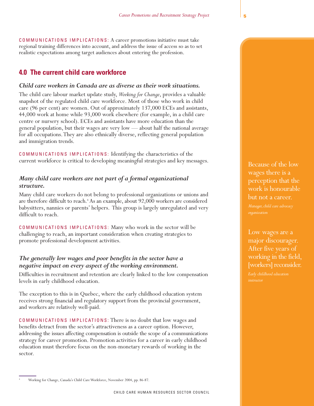COMMUNICATIONS IMPLICATIONS: A career promotions initiative must take regional training differences into account, and address the issue of access so as to set realistic expectations among target audiences about entering the profession.

# **4.0 The current child care workforce**

#### *Child care workers in Canada are as diverse as their work situations.*

The child care labour market update study, *Working for Change*, provides a valuable snapshot of the regulated child care workforce. Most of those who work in child care (96 per cent) are women. Out of approximately 137,000 ECEs and assistants, 44,000 work at home while 93,000 work elsewhere (for example, in a child care centre or nursery school). ECEs and assistants have more education than the general population, but their wages are very low — about half the national average for all occupations.They are also ethnically diverse, reflecting general population and immigration trends.

COMMUNICATIONS IMPLICATIONS: Identifying the characteristics of the current workforce is critical to developing meaningful strategies and key messages.

# *Many child care workers are not part of a formal organizational structure.*

Many child care workers do not belong to professional organizations or unions and are therefore difficult to reach.<sup>4</sup> As an example, about 92,000 workers are considered babysitters, nannies or parents' helpers. This group is largely unregulated and very difficult to reach.

COMMUNICATIONS IMPLICATIONS: Many who work in the sector will be challenging to reach, an important consideration when creating strategies to promote professional development activities.

## *The generally low wages and poor benefits in the sector have a negative impact on every aspect of the working environment.*

Difficulties in recruitment and retention are clearly linked to the low compensation levels in early childhood education.

The exception to this is in Quebec, where the early childhood education system receives strong financial and regulatory support from the provincial government, and workers are relatively well-paid.

COMMUNICATIONS IMPLICATIONS: There is no doubt that low wages and benefits detract from the sector's attractiveness as a career option. However, addressing the issues affecting compensation is outside the scope of a communications strategy for career promotion. Promotion activities for a career in early childhood education must therefore focus on the non-monetary rewards of working in the sector.

Because of the low wages there is a perception that the work is honourable but not a career.

Low wages are a major discourager. After five years of working in the field, [workers] reconsider.

<sup>4</sup> Working for Change, Canada's Child Care Workforce, November 2004, pp. 86-87.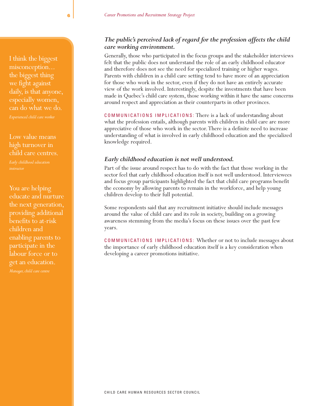I think the biggest misconception... the biggest thing we fight against daily, is that anyone, especially women, can do what we do.

Low value means high turnover in child care centres.

*Early childhood education* 

You are helping educate and nurture the next generation, providing additional benefits to at-risk children and enabling parents to participate in the labour force or to get an education.

# *The public's perceived lack of regard for the profession affects the child care working environment.*

Generally, those who participated in the focus groups and the stakeholder interviews felt that the public does not understand the role of an early childhood educator and therefore does not see the need for specialized training or higher wages. Parents with children in a child care setting tend to have more of an appreciation for those who work in the sector, even if they do not have an entirely accurate view of the work involved. Interestingly, despite the investments that have been made in Quebec's child care system, those working within it have the same concerns around respect and appreciation as their counterparts in other provinces.

COMMUNICATIONS IMPLICATIONS: There is a lack of understanding about what the profession entails, although parents with children in child care are more appreciative of those who work in the sector.There is a definite need to increase understanding of what is involved in early childhood education and the specialized knowledge required.

#### *Early childhood education is not well understood.*

Part of the issue around respect has to do with the fact that those working in the sector feel that early childhood education itself is not well understood. Interviewees and focus group participants highlighted the fact that child care programs benefit the economy by allowing parents to remain in the workforce, and help young children develop to their full potential.

Some respondents said that any recruitment initiative should include messages around the value of child care and its role in society, building on a growing awareness stemming from the media's focus on these issues over the past few years.

COMMUNICATIONS IMPLICATIONS: Whether or not to include messages about the importance of early childhood education itself is a key consideration when developing a career promotions initiative.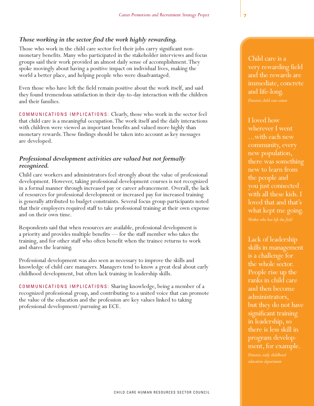# *Those working in the sector find the work highly rewarding.*

Those who work in the child care sector feel their jobs carry significant nonmonetary benefits. Many who participated in the stakeholder interviews and focus groups said their work provided an almost daily sense of accomplishment.They spoke movingly about having a positive impact on individual lives, making the world a better place, and helping people who were disadvantaged.

Even those who have left the field remain positive about the work itself, and said they found tremendous satisfaction in their day-to-day interaction with the children and their families.

COMMUNICATIONS IMPLICATIONS: Clearly, those who work in the sector feel that child care is a meaningful occupation.The work itself and the daily interactions with children were viewed as important benefits and valued more highly than monetary rewards.These findings should be taken into account as key messages are developed.

# *Professional development activities are valued but not formally recognized.*

Child care workers and administrators feel strongly about the value of professional development. However, taking professional development courses is not recognized in a formal manner through increased pay or career advancement. Overall, the lack of resources for professional development or increased pay for increased training is generally attributed to budget constraints. Several focus group participants noted that their employers required staff to take professional training at their own expense and on their own time.

Respondents said that when resources are available, professional development is a priority and provides multiple benefits — for the staff member who takes the training, and for other staff who often benefit when the trainee returns to work and shares the learning.

Professional development was also seen as necessary to improve the skills and knowledge of child care managers. Managers tend to know a great deal about early childhood development, but often lack training in leadership skills.

COMMUNICATIONS IMPLICATIONS: Sharing knowledge, being a member of a recognized professional group, and contributing to a united voice that can promote the value of the education and the profession are key values linked to taking professional development/pursuing an ECE.

Child care is a very rewarding field and the rewards are immediate, concrete and life-long.

I loved how wherever I went ...with each new community, every new population, there was something new to learn from the people and you just connected with all these kids. I loved that and that's what kept me going.

Lack of leadership skills in management is a challenge for the whole sector. People rise up the ranks in child care and then become administrators, but they do not have significant training in leadership, so there is less skill in program development, for example.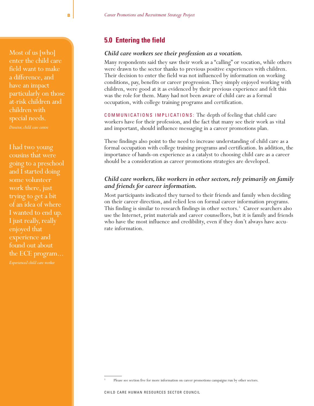Most of us [who] enter the child care field want to make a difference, and have an impact particularly on those at-risk children and children with special needs.

I had two young cousins that were going to a preschool and I started doing some volunteer work there, just trying to get a bit of an idea of where I wanted to end up. I just really, really enjoyed that experience and found out about the ECE program...

# **5.0 Entering the field**

#### *Child care workers see their profession as a vocation.*

Many respondents said they saw their work as a "calling" or vocation, while others were drawn to the sector thanks to previous positive experiences with children. Their decision to enter the field was not influenced by information on working conditions, pay, benefits or career progression.They simply enjoyed working with children, were good at it as evidenced by their previous experience and felt this was the role for them. Many had not been aware of child care as a formal occupation, with college training programs and certification.

COMMUNICATIONS IMPLICATIONS: The depth of feeling that child care workers have for their profession, and the fact that many see their work as vital and important, should influence messaging in a career promotions plan.

These findings also point to the need to increase understanding of child care as a formal occupation with college training programs and certification. In addition, the importance of hands-on experience as a catalyst to choosing child care as a career should be a consideration as career promotions strategies are developed.

# Child care workers, like workers in other sectors, rely primarily on family *and friends for career information.*

Most participants indicated they turned to their friends and family when deciding on their career direction, and relied less on formal career information programs. This finding is similar to research findings in other sectors.<sup>5</sup> Career searchers also use the Internet, print materials and career counsellors, but it is family and friends who have the most influence and credibility, even if they don't always have accurate information.

Please see section five for more information on career promotions campaigns run by other sectors.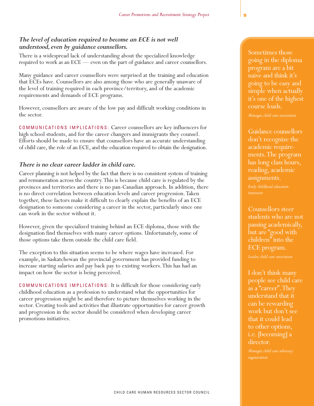# *The level of education required to become an ECE is not well understood,even by guidance counsellors.*

There is a widespread lack of understanding about the specialized knowledge required to work as an ECE — even on the part of guidance and career counsellors.

Many guidance and career counsellors were surprised at the training and education that ECEs have. Counsellors are also among those who are generally unaware of the level of training required in each province/territory, and of the academic requirements and demands of ECE programs.

However, counsellors are aware of the low pay and difficult working conditions in the sector.

COMMUNICATIONS IMPLICATIONS: Career counsellors are key influencers for high school students, and for the career changers and immigrants they counsel. Efforts should be made to ensure that counsellors have an accurate understanding of child care, the role of an ECE, and the education required to obtain the designation.

#### *There is no clear career ladder in child care.*

Career planning is not helped by the fact that there is no consistent system of training and remuneration across the country.This is because child care is regulated by the provinces and territories and there is no pan-Canadian approach. In addition, there is no direct correlation between education levels and career progression.Taken together, these factors make it difficult to clearly explain the benefits of an ECE designation to someone considering a career in the sector, particularly since one can work in the sector without it.

However, given the specialized training behind an ECE diploma, those with the designation find themselves with many career options. Unfortunately, some of those options take them outside the child care field.

The exception to this situation seems to be where wages have increased. For example, in Saskatchewan the provincial government has provided funding to increase starting salaries and pay back pay to existing workers.This has had an impact on how the sector is being perceived.

COMMUNICATIONS IMPLICATIONS: It is difficult for those considering early childhood education as a profession to understand what the opportunities for career progression might be and therefore to picture themselves working in the sector. Creating tools and activities that illustrate opportunities for career growth and progression in the sector should be considered when developing career promotions initiatives.

Sometimes those going in the diploma program are a bit naive and think it's going to be easy and simple when actually it's one of the highest course loads.

Guidance counsellors don't recognize the academic requirements.The program has long class hours, reading, academic assignments.

Counsellors steer students who are not passing academically, but are "good with children" into the ECE program.

I don't think many people see child care as a "career". They understand that it can be rewarding work but don't see that it could lead to other options, i.e. [becoming] a director.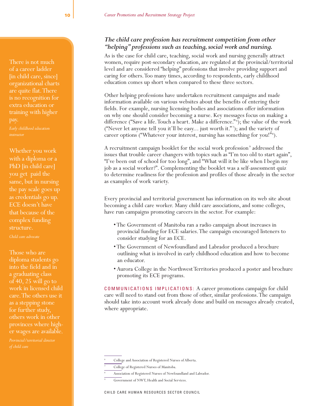There is not much of a career ladder [in child care, since] organizational charts are quite flat.There is no recognition for extra education or training with higher

Whether you work with a diploma or a PhD [in child care] you get paid the same, but in nursing the pay scale goes up as credentials go up. ECE doesn't have that because of the complex funding structure.

*Child care advocate*

Those who are diploma students go into the field and in a graduating class of 40, 25 will go to work in licensed child care.The others use it as a stepping stone for further study, others work in other provinces where higher wages are available.

# *The child care profession has recruitment competition from other "helping"professions such as teaching,social work and nursing.*

As is the case for child care, teaching, social work and nursing generally attract women, require post-secondary education, are regulated at the provincial/territorial level and are considered "helping" professions that involve providing support and caring for others.Too many times, according to respondents, early childhood education comes up short when compared to these three sectors.

Other helping professions have undertaken recruitment campaigns and made information available on various websites about the benefits of entering their fields. For example, nursing licensing bodies and associations offer information on why one should consider becoming a nurse. Key messages focus on making a difference ("Save a life. Touch a heart. Make a difference."<sup>6</sup>); the value of the work ("Never let anyone tell you it'll be easy... just worth it." <sup>7</sup> ); and the variety of career options ("Whatever your interest, nursing has something for you!"<sup>8</sup>).

A recruitment campaign booklet for the social work profession<sup>9</sup> addressed the issues that trouble career changers with topics such as "I'm too old to start again", "I've been out of school for too long", and "What will it be like when I begin my job as a social worker?". Complementing the booklet was a self-assessment quiz to determine readiness for the profession and profiles of those already in the sector as examples of work variety.

Every provincial and territorial government has information on its web site about becoming a child care worker. Many child care associations, and some colleges, have run campaigns promoting careers in the sector. For example:

- The Government of Manitoba ran a radio campaign about increases in provincial funding for ECE salaries.The campaign encouraged listeners to consider studying for an ECE.
- The Government of Newfoundland and Labrador produced a brochure outlining what is involved in early childhood education and how to become an educator.
- Aurora College in the Northwest Territories produced a poster and brochure promoting its ECE programs.

COMMUNICATIONS IMPLICATIONS: A career promotions campaign for child care will need to stand out from those of other, similar professions.The campaign should take into account work already done and build on messages already created, where appropriate.

<sup>6</sup> College and Association of Registered Nurses of Alberta.

<sup>7</sup> College of Registered Nurses of Manitoba.

Association of Registered Nurses of Newfoundland and Labrador.

Government of NWT, Health and Social Services.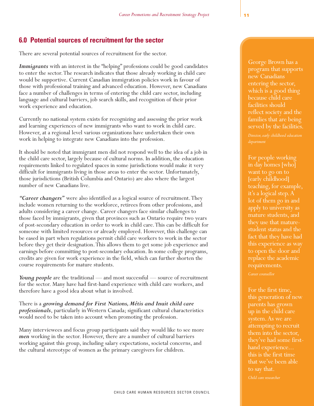# **6.0 Potential sources of recruitment for the sector**

There are several potential sources of recruitment for the sector.

*Immigrants* with an interest in the "helping" professions could be good candidates to enter the sector.The research indicates that those already working in child care would be supportive. Current Canadian immigration policies work in favour of those with professional training and advanced education. However, new Canadians face a number of challenges in terms of entering the child care sector, including language and cultural barriers, job search skills, and recognition of their prior work experience and education.

Currently no national system exists for recognizing and assessing the prior work and learning experiences of new immigrants who want to work in child care. However, at a regional level various organizations have undertaken their own work in helping to integrate new Canadians into the profession.

It should be noted that immigrant men did not respond well to the idea of a job in the child care sector, largely because of cultural norms. In addition, the education requirements linked to regulated spaces in some jurisdictions would make it very difficult for immigrants living in those areas to enter the sector. Unfortunately, those jurisdictions (British Columbia and Ontario) are also where the largest number of new Canadians live.

*"Career changers"* were also identified as a logical source of recruitment.They include women returning to the workforce, retirees from other professions, and adults considering a career change. Career changers face similar challenges to those faced by immigrants, given that provinces such as Ontario require two years of post-secondary education in order to work in child care.This can be difficult for someone with limited resources or already employed. However, this challenge can be eased in part when regulations permit child care workers to work in the sector before they get their designation.This allows them to get some job experience and earnings before committing to post-secondary education. In some college programs, credits are given for work experience in the field, which can further shorten the course requirements for mature students.

*Young people* are the traditional — and most successful — source of recruitment for the sector. Many have had first-hand experience with child care workers, and therefore have a good idea about what is involved.

There is a *growing demand for First Nations, Métis and Inuit child care professionals*, particularly in Western Canada; significant cultural characteristics would need to be taken into account when promoting the profession.

Many interviewees and focus group participants said they would like to see more *men* working in the sector. However, there are a number of cultural barriers working against this group, including salary expectations, societal concerns, and the cultural stereotype of women as the primary caregivers for children.

George Brown has a program that supports new Canadians entering the sector, which is a good thing because child care facilities should reflect society and the families that are being served by the facilities.

For people working in day homes [who] want to go on to [early childhood] teaching, for example, it's a logical step.A lot of them go in and apply to university as mature students, and student status and the fact that they have had this experience as way to open the door and replace the academic requirements.

For the first time, this generation of new parents has grown up in the child care attempting to recruit them into the sector, hand experience... this is the first time that we've been able